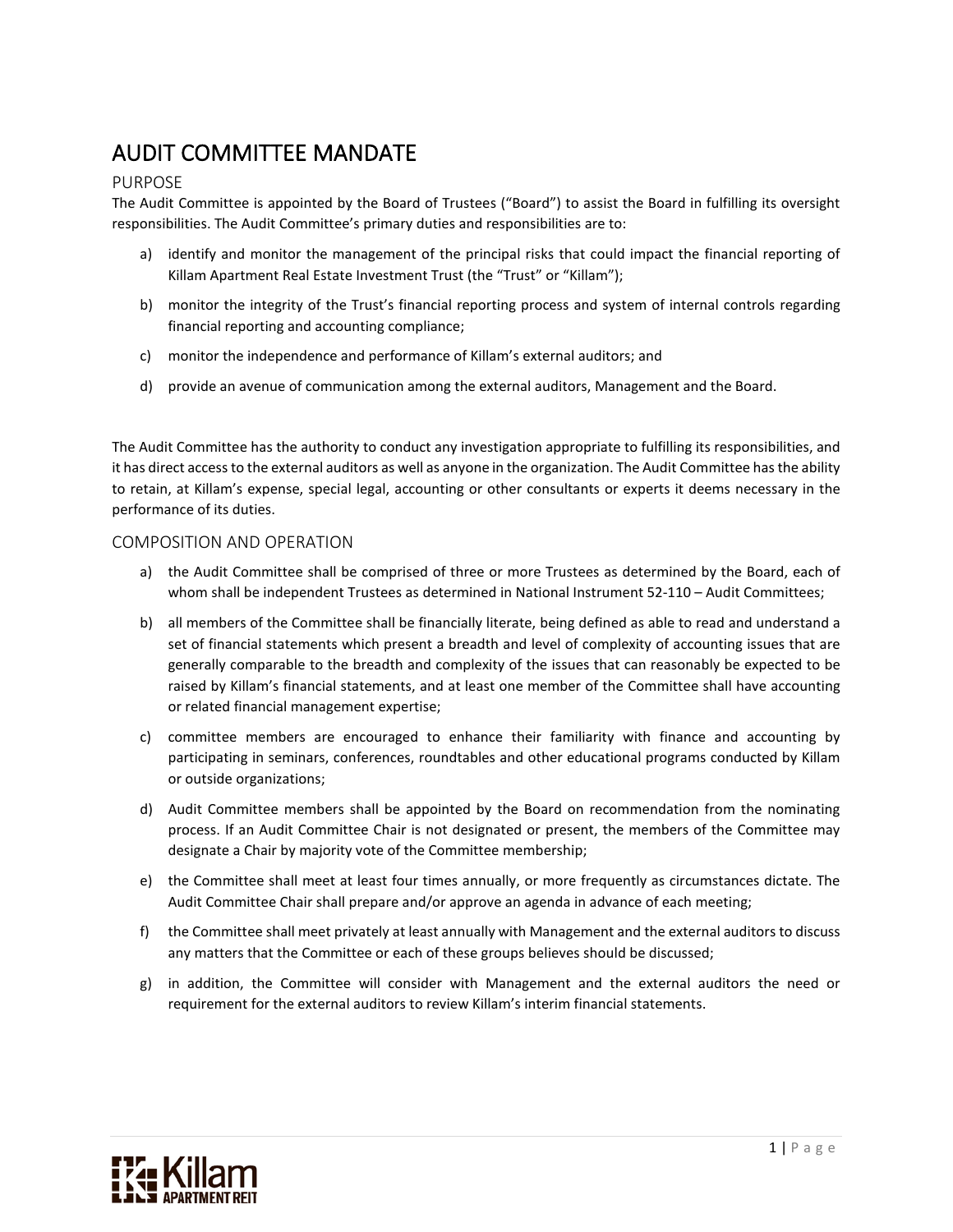# AUDIT COMMITTEE MANDATE

# PURPOSE

The Audit Committee is appointed by the Board of Trustees ("Board") to assist the Board in fulfilling its oversight responsibilities. The Audit Committee's primary duties and responsibilities are to:

- a) identify and monitor the management of the principal risks that could impact the financial reporting of Killam Apartment Real Estate Investment Trust (the "Trust" or "Killam");
- b) monitor the integrity of the Trust's financial reporting process and system of internal controls regarding financial reporting and accounting compliance;
- c) monitor the independence and performance of Killam's external auditors; and
- d) provide an avenue of communication among the external auditors, Management and the Board.

The Audit Committee has the authority to conduct any investigation appropriate to fulfilling its responsibilities, and it has direct access to the external auditors as well as anyone in the organization. The Audit Committee has the ability to retain, at Killam's expense, special legal, accounting or other consultants or experts it deems necessary in the performance of its duties.

## COMPOSITION AND OPERATION

- a) the Audit Committee shall be comprised of three or more Trustees as determined by the Board, each of whom shall be independent Trustees as determined in National Instrument 52-110 – Audit Committees;
- b) all members of the Committee shall be financially literate, being defined as able to read and understand a set of financial statements which present a breadth and level of complexity of accounting issues that are generally comparable to the breadth and complexity of the issues that can reasonably be expected to be raised by Killam's financial statements, and at least one member of the Committee shall have accounting or related financial management expertise;
- c) committee members are encouraged to enhance their familiarity with finance and accounting by participating in seminars, conferences, roundtables and other educational programs conducted by Killam or outside organizations;
- d) Audit Committee members shall be appointed by the Board on recommendation from the nominating process. If an Audit Committee Chair is not designated or present, the members of the Committee may designate a Chair by majority vote of the Committee membership;
- e) the Committee shall meet at least four times annually, or more frequently as circumstances dictate. The Audit Committee Chair shall prepare and/or approve an agenda in advance of each meeting;
- f) the Committee shall meet privately at least annually with Management and the external auditors to discuss any matters that the Committee or each of these groups believes should be discussed;
- g) in addition, the Committee will consider with Management and the external auditors the need or requirement for the external auditors to review Killam's interim financial statements.

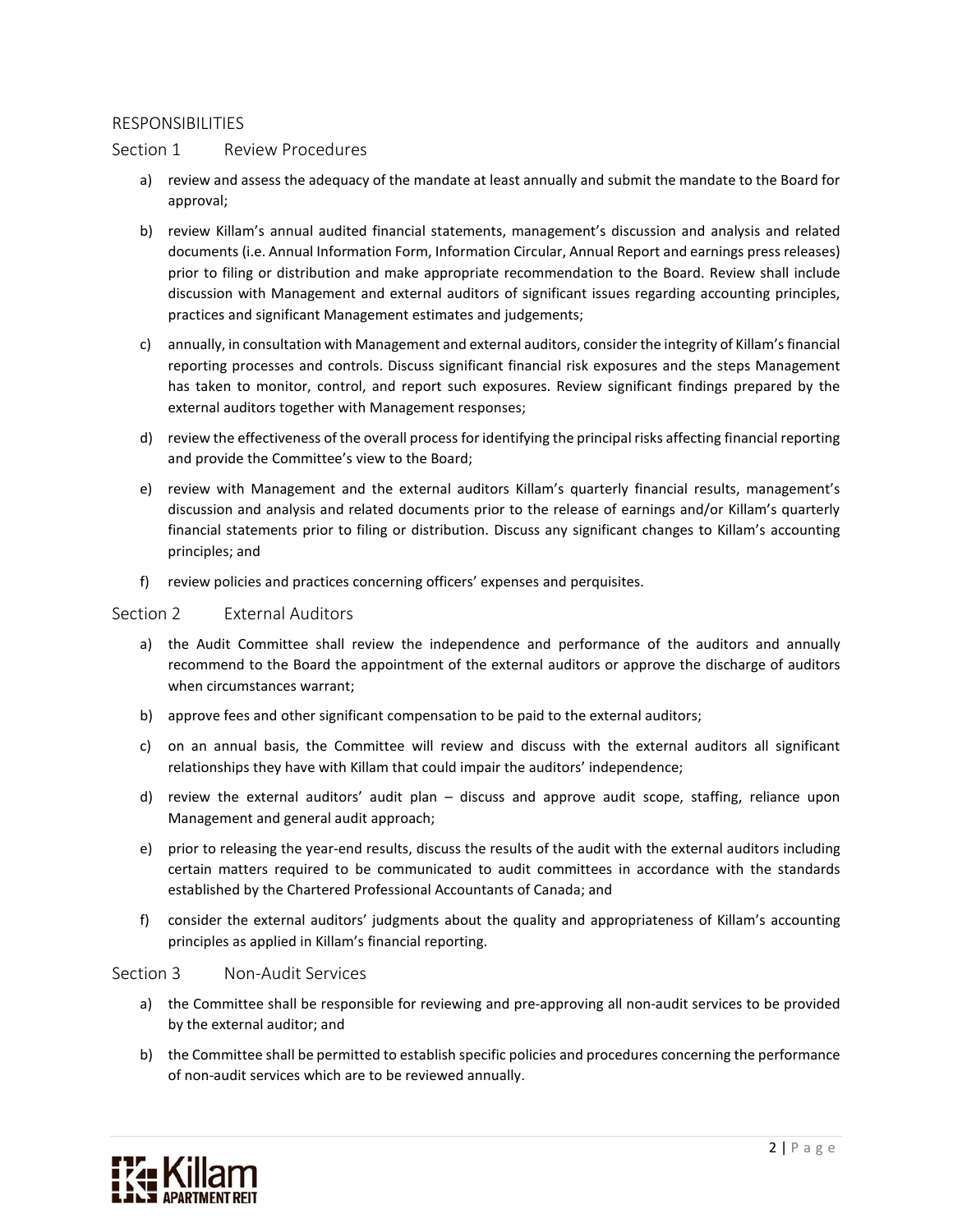## RESPONSIBILITIES

#### Section 1 Review Procedures

- a) review and assess the adequacy of the mandate at least annually and submit the mandate to the Board for approval;
- b) review Killam's annual audited financial statements, management's discussion and analysis and related documents (i.e. Annual Information Form, Information Circular, Annual Report and earnings press releases) prior to filing or distribution and make appropriate recommendation to the Board. Review shall include discussion with Management and external auditors of significant issues regarding accounting principles, practices and significant Management estimates and judgements;
- c) annually, in consultation with Management and external auditors, consider the integrity of Killam's financial reporting processes and controls. Discuss significant financial risk exposures and the steps Management has taken to monitor, control, and report such exposures. Review significant findings prepared by the external auditors together with Management responses;
- d) review the effectiveness of the overall process for identifying the principal risks affecting financial reporting and provide the Committee's view to the Board;
- e) review with Management and the external auditors Killam's quarterly financial results, management's discussion and analysis and related documents prior to the release of earnings and/or Killam's quarterly financial statements prior to filing or distribution. Discuss any significant changes to Killam's accounting principles; and
- f) review policies and practices concerning officers' expenses and perquisites.

#### Section 2 External Auditors

- a) the Audit Committee shall review the independence and performance of the auditors and annually recommend to the Board the appointment of the external auditors or approve the discharge of auditors when circumstances warrant;
- b) approve fees and other significant compensation to be paid to the external auditors;
- c) on an annual basis, the Committee will review and discuss with the external auditors all significant relationships they have with Killam that could impair the auditors' independence;
- d) review the external auditors' audit plan discuss and approve audit scope, staffing, reliance upon Management and general audit approach;
- e) prior to releasing the year-end results, discuss the results of the audit with the external auditors including certain matters required to be communicated to audit committees in accordance with the standards established by the Chartered Professional Accountants of Canada; and
- f) consider the external auditors' judgments about the quality and appropriateness of Killam's accounting principles as applied in Killam's financial reporting.

#### Section 3 Non-Audit Services

- a) the Committee shall be responsible for reviewing and pre-approving all non-audit services to be provided by the external auditor; and
- b) the Committee shall be permitted to establish specific policies and procedures concerning the performance of non-audit services which are to be reviewed annually.

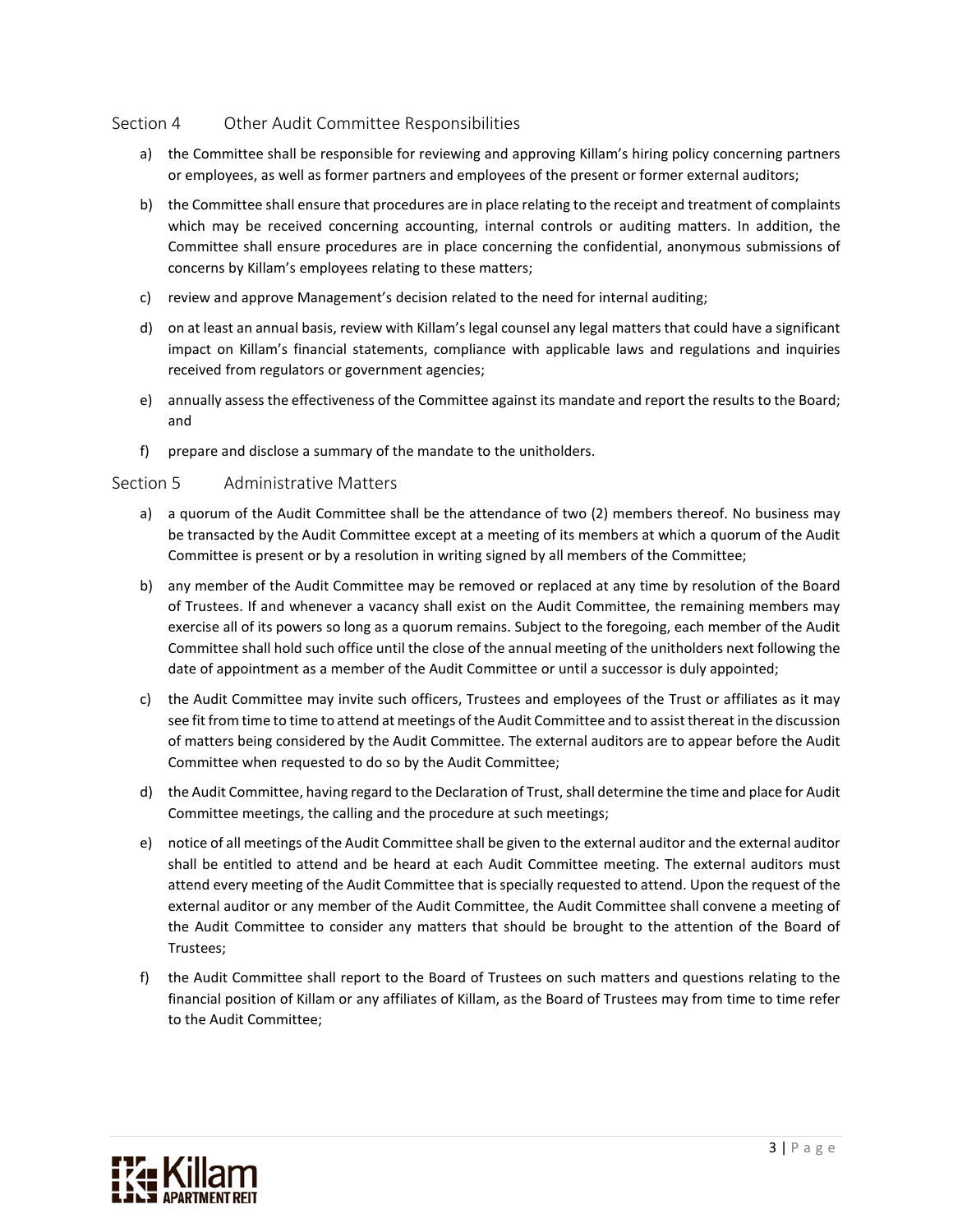# Section 4 Other Audit Committee Responsibilities

- a) the Committee shall be responsible for reviewing and approving Killam's hiring policy concerning partners or employees, as well as former partners and employees of the present or former external auditors;
- b) the Committee shall ensure that procedures are in place relating to the receipt and treatment of complaints which may be received concerning accounting, internal controls or auditing matters. In addition, the Committee shall ensure procedures are in place concerning the confidential, anonymous submissions of concerns by Killam's employees relating to these matters;
- c) review and approve Management's decision related to the need for internal auditing;
- d) on at least an annual basis, review with Killam's legal counsel any legal matters that could have a significant impact on Killam's financial statements, compliance with applicable laws and regulations and inquiries received from regulators or government agencies;
- e) annually assess the effectiveness of the Committee against its mandate and report the results to the Board; and
- f) prepare and disclose a summary of the mandate to the unitholders.

# Section 5 Administrative Matters

- a) a quorum of the Audit Committee shall be the attendance of two (2) members thereof. No business may be transacted by the Audit Committee except at a meeting of its members at which a quorum of the Audit Committee is present or by a resolution in writing signed by all members of the Committee;
- b) any member of the Audit Committee may be removed or replaced at any time by resolution of the Board of Trustees. If and whenever a vacancy shall exist on the Audit Committee, the remaining members may exercise all of its powers so long as a quorum remains. Subject to the foregoing, each member of the Audit Committee shall hold such office until the close of the annual meeting of the unitholders next following the date of appointment as a member of the Audit Committee or until a successor is duly appointed;
- c) the Audit Committee may invite such officers, Trustees and employees of the Trust or affiliates as it may see fit from time to time to attend at meetings of the Audit Committee and to assist thereat in the discussion of matters being considered by the Audit Committee. The external auditors are to appear before the Audit Committee when requested to do so by the Audit Committee;
- d) the Audit Committee, having regard to the Declaration of Trust, shall determine the time and place for Audit Committee meetings, the calling and the procedure at such meetings;
- e) notice of all meetings of the Audit Committee shall be given to the external auditor and the external auditor shall be entitled to attend and be heard at each Audit Committee meeting. The external auditors must attend every meeting of the Audit Committee that is specially requested to attend. Upon the request of the external auditor or any member of the Audit Committee, the Audit Committee shall convene a meeting of the Audit Committee to consider any matters that should be brought to the attention of the Board of Trustees;
- f) the Audit Committee shall report to the Board of Trustees on such matters and questions relating to the financial position of Killam or any affiliates of Killam, as the Board of Trustees may from time to time refer to the Audit Committee;